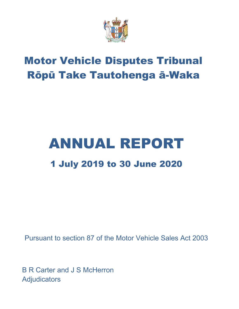

# Motor Vehicle Disputes Tribunal Rōpū Take Tautohenga ā-Waka

# ANNUAL REPORT 1 July 2019 to 30 June 2020

Pursuant to section 87 of the Motor Vehicle Sales Act 2003

B R Carter and J S McHerron **Adjudicators**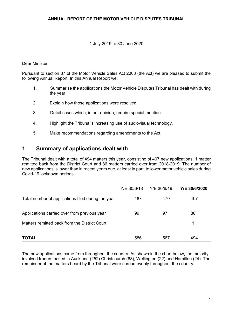#### 1 July 2019 to 30 June 2020

#### Dear Minister

Pursuant to section 87 of the Motor Vehicle Sales Act 2003 (the Act) we are pleased to submit the following Annual Report. In this Annual Report we:

- 1. Summarise the applications the Motor Vehicle Disputes Tribunal has dealt with during the year.
- 2. Explain how those applications were resolved.
- 3. Detail cases which, in our opinion, require special mention.
- 4. Highlight the Tribunal's increasing use of audiovisual technology.
- 5. Make recommendations regarding amendments to the Act.

## **1**. **Summary of applications dealt with**

The Tribunal dealt with a total of 494 matters this year, consisting of 407 new applications, 1 matter remitted back from the District Court and 86 matters carried over from 2018-2019. The number of new applications is lower than in recent years due, at least in part, to lower motor vehicle sales during Covid-19 lockdown periods.

|                                                    | Y/E 30/6/18 | Y/E 30/6/19 | Y/E 30/6/2020 |
|----------------------------------------------------|-------------|-------------|---------------|
| Total number of applications filed during the year | 487         | 470         | 407           |
| Applications carried over from previous year       | 99          | 97          | 86            |
| Matters remitted back from the District Court      |             |             | 1             |
| TOTAL                                              | 586         | 567         | 494           |

The new applications came from throughout the country. As shown in the chart below, the majority involved traders based in Auckland (252) Christchurch (63), Wellington (22) and Hamilton (24). The remainder of the matters heard by the Tribunal were spread evenly throughout the country.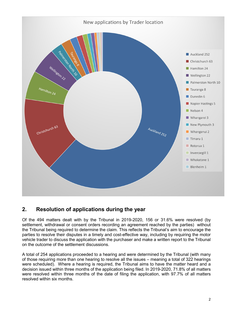

# **2. Resolution of applications during the year**

Of the 494 matters dealt with by the Tribunal in 2019-2020, 156 or 31.6% were resolved (by settlement, withdrawal or consent orders recording an agreement reached by the parties) without the Tribunal being required to determine the claim. This reflects the Tribunal's aim to encourage the parties to resolve their disputes in a timely and cost-effective way, including by requiring the motor vehicle trader to discuss the application with the purchaser and make a written report to the Tribunal on the outcome of the settlement discussions.

A total of 254 applications proceeded to a hearing and were determined by the Tribunal (with many of those requiring more than one hearing to resolve all the issues – meaning a total of 322 hearings were scheduled). Where a hearing is required, the Tribunal aims to have the matter heard and a decision issued within three months of the application being filed. In 2019-2020, 71.8% of all matters were resolved within three months of the date of filing the application, with 97.7% of all matters resolved within six months.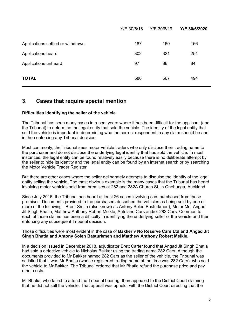|                                   | Y/E 30/6/18 | Y/E 30/6/19 | Y/E 30/6/2020 |
|-----------------------------------|-------------|-------------|---------------|
| Applications settled or withdrawn | 187         | 160         | 156           |
| Applications heard                | 302         | 321         | 254           |
| Applications unheard              | 97          | 86          | 84            |
| <b>TOTAL</b>                      | 586         | 567         | 494           |

## **3. Cases that require special mention**

#### **Difficulties identifying the seller of the vehicle**

The Tribunal has seen many cases in recent years where it has been difficult for the applicant (and the Tribunal) to determine the legal entity that sold the vehicle. The identity of the legal entity that sold the vehicle is important in determining who the correct respondent in any claim should be and in then enforcing any Tribunal decision.

Most commonly, the Tribunal sees motor vehicle traders who only disclose their trading name to the purchaser and do not disclose the underlying legal identity that has sold the vehicle. In most instances, the legal entity can be found relatively easily because there is no deliberate attempt by the seller to hide its identity and the legal entity can be found by an internet search or by searching the Motor Vehicle Trader Register.

But there are other cases where the seller deliberately attempts to disguise the identity of the legal entity selling the vehicle. The most obvious example is the many cases that the Tribunal has heard involving motor vehicles sold from premises at 282 and 282A Church St, in Onehunga, Auckland.

Since July 2016, the Tribunal has heard at least 26 cases involving cars purchased from those premises. Documents provided to the purchasers described the vehicles as being sold by one or more of the following - Brent Smith (also known as Antony Solen Basturkmen), Motor Me, Angad Jit Singh Bhatia, Matthew Anthony Robert Meikle, Autoland Cars and/or 282 Cars. Common to each of those claims has been a difficulty in identifying the underlying seller of the vehicle and then enforcing any subsequent Tribunal decision.

#### Those difficulties were most evident in the case of **Bakker v No Reserve Cars Ltd and Angad Jit Singh Bhatia and Antony Solen Basturkmen and Matthew Anthony Robert Meikle.**

In a decision issued in December 2018, adjudicator Brett Carter found that Angad Jit Singh Bhatia had sold a defective vehicle to Nicholas Bakker using the trading name 282 Cars. Although the documents provided to Mr Bakker named 282 Cars as the seller of the vehicle, the Tribunal was satisfied that it was Mr Bhatia (whose registered trading name at the time was 282 Cars), who sold the vehicle to Mr Bakker. The Tribunal ordered that Mr Bhatia refund the purchase price and pay other costs.

Mr Bhatia, who failed to attend the Tribunal hearing, then appealed to the District Court claiming that he did not sell the vehicle. That appeal was upheld, with the District Court directing that the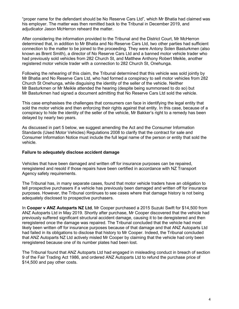"proper name for the defendant should be No Reserve Cars Ltd", which Mr Bhatia had claimed was his employer. The matter was then remitted back to the Tribunal in December 2019, and adjudicator Jason McHerron reheard the matter.

After considering the information provided to the Tribunal and the District Court, Mr McHerron determined that, in addition to Mr Bhatia and No Reserve Cars Ltd, two other parties had sufficient connection to the matter to be joined to the proceeding. They were Antony Solen Basturkmen (also known as Brent Smith), a director of No Reserve Cars Ltd and a banned motor vehicle trader who had previously sold vehicles from 282 Church St, and Matthew Anthony Robert Meikle, another registered motor vehicle trader with a connection to 282 Church St, Onehunga.

Following the rehearing of this claim, the Tribunal determined that this vehicle was sold jointly by Mr Bhatia and No Reserve Cars Ltd, who had formed a conspiracy to sell motor vehicles from 282 Church St Onehunga, while disguising the identity of the seller of the vehicle. Neither Mr Basturkmen or Mr Meikle attended the hearing (despite being summonsed to do so) but Mr Basturkmen had signed a document admitting that No Reserve Cars Ltd sold the vehicle.

This case emphasises the challenges that consumers can face in identifying the legal entity that sold the motor vehicle and then enforcing their rights against that entity. In this case, because of a conspiracy to hide the identity of the seller of the vehicle, Mr Bakker's right to a remedy has been delayed by nearly two years.

As discussed in part 5 below, we suggest amending the Act and the Consumer Information Standards (Used Motor Vehicles) Regulations 2008 to clarify that the contract for sale and Consumer Information Notice must include the full legal name of the person or entity that sold the vehicle.

#### **Failure to adequately disclose accident damage**

Vehicles that have been damaged and written off for insurance purposes can be repaired, reregistered and resold if those repairs have been certified in accordance with NZ Transport Agency safety requirements.

The Tribunal has, in many separate cases, found that motor vehicle traders have an obligation to tell prospective purchasers if a vehicle has previously been damaged and written off for insurance purposes. However, the Tribunal continues to see cases where that damage history is not being adequately disclosed to prospective purchasers.

In **Cooper v ANZ Autoparts NZ Ltd**, Mr Cooper purchased a 2015 Suzuki Swift for \$14,500 from ANZ Autoparts Ltd in May 2019. Shortly after purchase, Mr Cooper discovered that the vehicle had previously suffered significant structural accident damage, causing it to be deregistered and then reregistered once the damage was repaired. The Tribunal concluded that the vehicle had most likely been written off for insurance purposes because of that damage and that ANZ Autoparts Ltd had failed in its obligations to disclose that history to Mr Cooper. Indeed, the Tribunal concluded that ANZ Autoparts NZ Ltd actively misled Mr Cooper by claiming that the vehicle had only been reregistered because one of its number plates had been lost.

The Tribunal found that ANZ Autoparts Ltd had engaged in misleading conduct in breach of section 9 of the Fair Trading Act 1986, and ordered ANZ Autoparts Ltd to refund the purchase price of \$14,500 and pay other costs.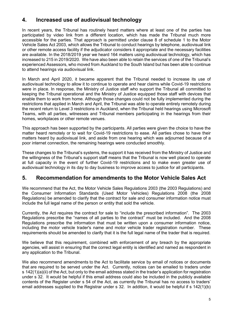# **4. Increased use of audiovisual technology**

In recent years, the Tribunal has routinely heard matters where at least one of the parties has participated by video link from a different location, which has made the Tribunal much more accessible for the parties. That approach is permitted under clause 8 of schedule 1 to the Motor Vehicle Sales Act 2003, which allows the Tribunal to conduct hearings by telephone, audiovisual link or other remote access facility if the adjudicator considers it appropriate and the necessary facilities are available. In the 2018/2019 year we heard 164 matters using audiovisual technology, which has increased to 215 in 2019/2020. We have also been able to retain the services of one of the Tribunal's experienced Assessors, who moved from Auckland to the South Island but has been able to continue to attend hearings via audiovisual link.

In March and April 2020, it became apparent that the Tribunal needed to increase its use of audiovisual technology to allow it to continue to operate and hear claims while Covid-19 restrictions were in place. In response, the Ministry of Justice staff who support the Tribunal all committed to keeping the Tribunal operational and the Ministry of Justice equipped those staff with devices that enable them to work from home. Although those changes could not be fully implemented during the restrictions that applied in March and April, the Tribunal was able to operate entirely remotely during the recent return to Level 3 restrictions in Auckland, when the Tribunal held hearings using Microsoft Teams, with all parties, witnesses and Tribunal members participating in the hearings from their homes, workplaces or other remote venues.

This approach has been supported by the participants. All parties were given the choice to have the matter heard remotely or to wait for Covid-19 restrictions to ease. All parties chose to have their matters heard by audiovisual link, and aside from one hearing which was adjourned because of a poor internet connection, the remaining hearings were conducted smoothly.

These changes to the Tribunal's systems, the support it has received from the Ministry of Justice and the willingness of the Tribunal's support staff means that the Tribunal is now well placed to operate at full capacity in the event of further Covid-19 restrictions and to make even greater use of audiovisual technology in its day to day business to improve access to justice for all participants.

# **5. Recommendation for amendments to the Motor Vehicle Sales Act**

We recommend that the Act, the Motor Vehicle Sales Regulations 2003 (the 2003 Regulations) and the Consumer Information Standards (Used Motor Vehicles) Regulations 2008 (the 2008 Regulations) be amended to clarify that the contract for sale and consumer information notice must include the full legal name of the person or entity that sold the vehicle.

Currently, the Act requires the contract for sale to "include the prescribed information". The 2003 Regulations prescribe the "names of all parties to the contract" must be included. And the 2008 Regulations prescribe the information that must be written upon a consumer information notice, including the motor vehicle trader's name and motor vehicle trader registration number. These requirements should be amended to clarify that it is the full legal name of the trader that is required.

We believe that this requirement, combined with enforcement of any breach by the appropriate agencies, will assist in ensuring that the correct legal entity is identified and named as respondent in any application to the Tribunal.

We also recommend amendments to the Act to facilitate service by email of notices or documents that are required to be served under the Act. Currently, notices can be emailed to traders under s 142(1)(a)(ii) of the Act, but only to the email address stated in the trader's application for registration under s 32. It would be helpful if this email address could also be included in the publicly available contents of the Register under s 54 of the Act, as currently the Tribunal has no access to traders' email addresses supplied to the Registrar under s 32. In addition, it would be helpful if s 142(1)(b)